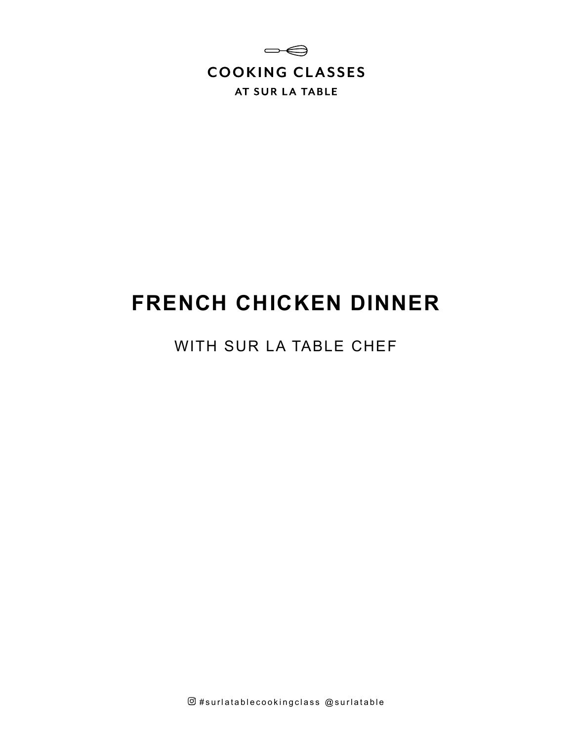

# **FRENCH CHICKEN DINNER**

WITH SUR LA TABLE CHEF

 $@$ #surlatablecookingclass  $@$ surlatable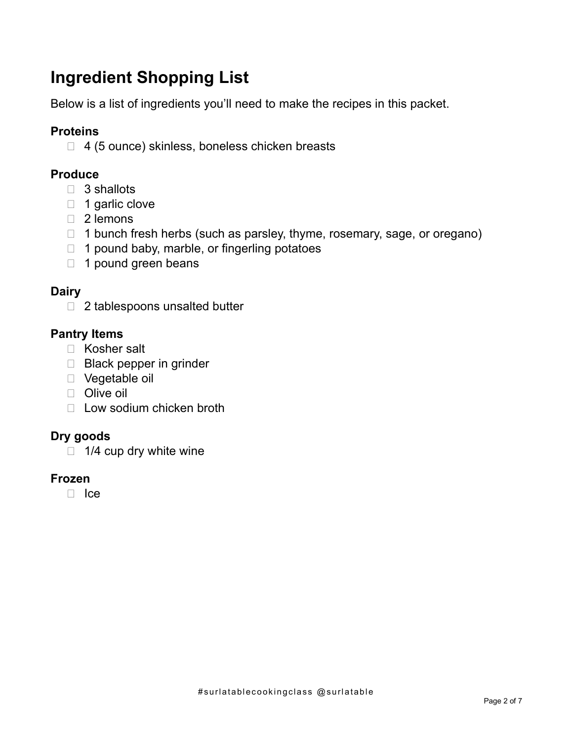# **Ingredient Shopping List**

Below is a list of ingredients you'll need to make the recipes in this packet.

# **Proteins**

□ 4 (5 ounce) skinless, boneless chicken breasts

# **Produce**

- $\Box$  3 shallots
- $\Box$  1 garlic clove
- □ 2 lemons
- $\Box$  1 bunch fresh herbs (such as parsley, thyme, rosemary, sage, or oregano)
- $\Box$  1 pound baby, marble, or fingerling potatoes
- 1 pound green beans

# **Dairy**

 $\Box$  2 tablespoons unsalted butter

# **Pantry Items**

- □ Kosher salt
- □ Black pepper in grinder
- Vegetable oil
- □ Olive oil
- $\Box$  Low sodium chicken broth

# **Dry goods**

 $\Box$  1/4 cup dry white wine

#### **Frozen**

 $\Box$  Ice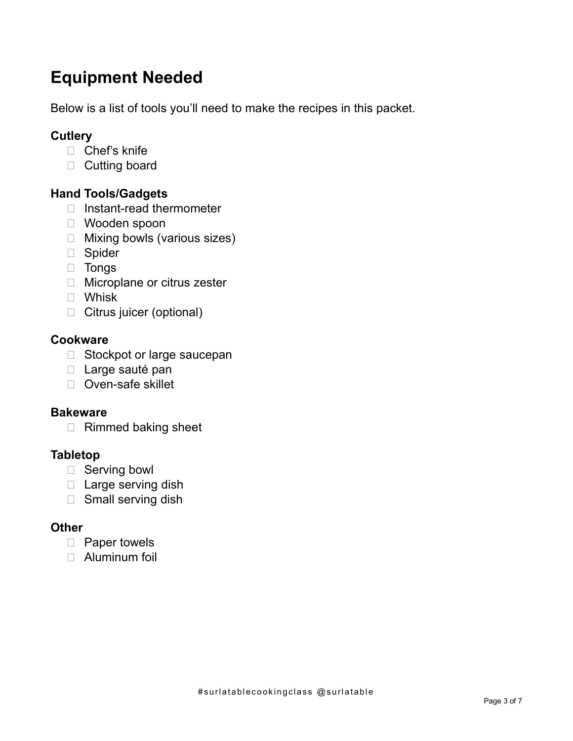# **Equipment Needed**

Below is a list of tools you'll need to make the recipes in this packet.

# **Cutlery**

- □ Chef's knife
- D Cutting board

# **Hand Tools/Gadgets**

- □ Instant-read thermometer
- Wooden spoon
- □ Mixing bowls (various sizes)
- □ Spider
- Tongs
- □ Microplane or citrus zester
- Whisk
- □ Citrus juicer (optional)

### **Cookware**

- □ Stockpot or large saucepan
- D Large sauté pan
- □ Oven-safe skillet

#### **Bakeware**

□ Rimmed baking sheet

#### **Tabletop**

- □ Serving bowl
- □ Large serving dish
- □ Small serving dish

#### **Other**

- D Paper towels
- Aluminum foil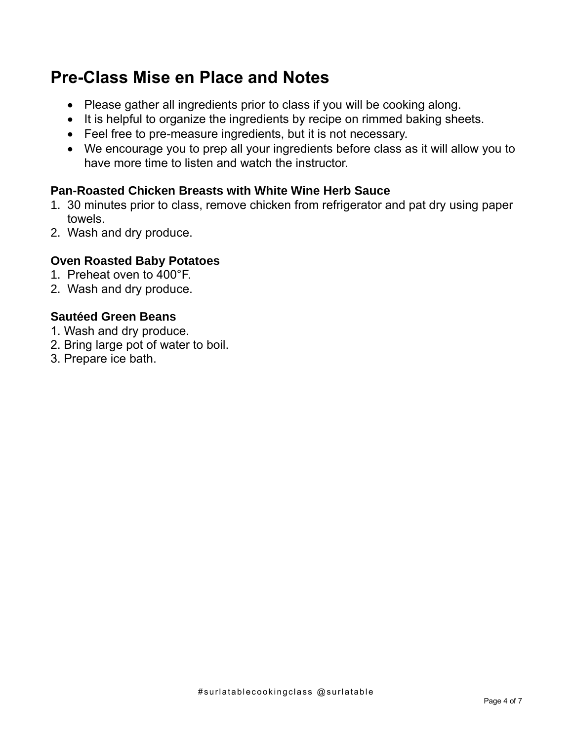# **Pre-Class Mise en Place and Notes**

- Please gather all ingredients prior to class if you will be cooking along.
- It is helpful to organize the ingredients by recipe on rimmed baking sheets.
- Feel free to pre-measure ingredients, but it is not necessary.
- We encourage you to prep all your ingredients before class as it will allow you to have more time to listen and watch the instructor.

# **Pan-Roasted Chicken Breasts with White Wine Herb Sauce**

- 1. 30 minutes prior to class, remove chicken from refrigerator and pat dry using paper towels.
- 2. Wash and dry produce.

### **Oven Roasted Baby Potatoes**

- 1. Preheat oven to 400°F.
- 2. Wash and dry produce.

# **Sautéed Green Beans**

- 1. Wash and dry produce.
- 2. Bring large pot of water to boil.
- 3. Prepare ice bath.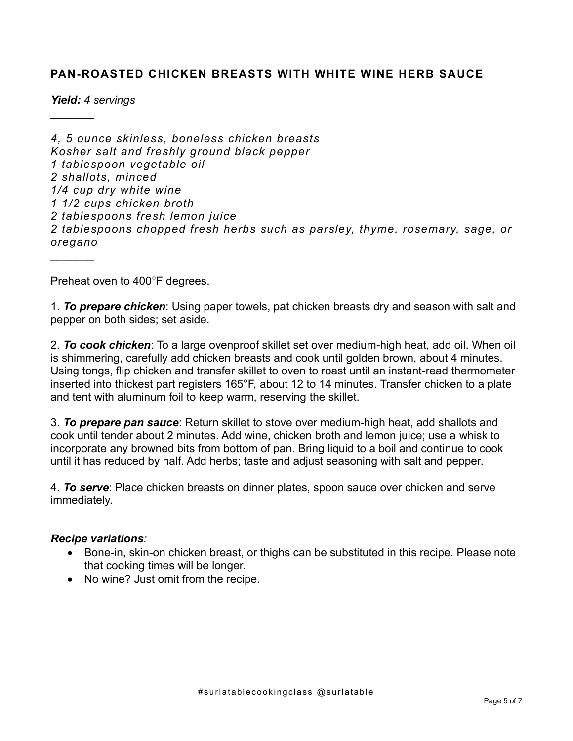#### **PAN-ROASTED CHICKEN BREASTS WITH WHITE WINE HERB SAUCE**

*Yield: 4 servings*

 $\frac{1}{2}$ 

*4, 5 ounce skinless, boneless chicken breasts Kosher salt and freshly ground black pepper 1 tablespoon vegetable oil 2 shallots, minced 1/4 cup dry white wine 1 1/2 cups chicken broth 2 tablespoons fresh lemon juice 2 tablespoons chopped fresh herbs such as parsley, thyme, rosemary, sage, or oregano*  $\frac{1}{2}$ 

Preheat oven to 400°F degrees.

1. *To prepare chicken*: Using paper towels, pat chicken breasts dry and season with salt and pepper on both sides; set aside.

2. *To cook chicken*: To a large ovenproof skillet set over medium-high heat, add oil. When oil is shimmering, carefully add chicken breasts and cook until golden brown, about 4 minutes. Using tongs, flip chicken and transfer skillet to oven to roast until an instant-read thermometer inserted into thickest part registers 165°F, about 12 to 14 minutes. Transfer chicken to a plate and tent with aluminum foil to keep warm, reserving the skillet.

3. *To prepare pan sauce*: Return skillet to stove over medium-high heat, add shallots and cook until tender about 2 minutes. Add wine, chicken broth and lemon juice; use a whisk to incorporate any browned bits from bottom of pan. Bring liquid to a boil and continue to cook until it has reduced by half. Add herbs; taste and adjust seasoning with salt and pepper.

4. *To serve*: Place chicken breasts on dinner plates, spoon sauce over chicken and serve immediately.

#### *Recipe variations:*

- Bone-in, skin-on chicken breast, or thighs can be substituted in this recipe. Please note that cooking times will be longer.
- No wine? Just omit from the recipe.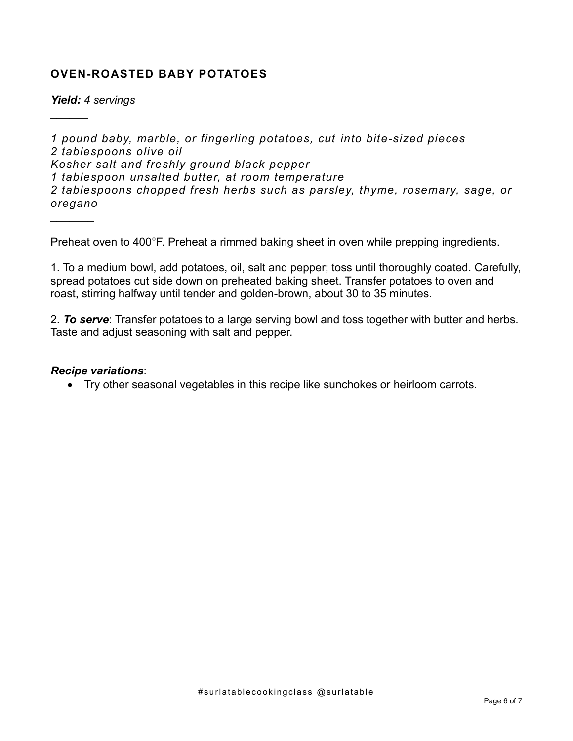### **OVEN-ROASTED BABY POTATOES**

*Yield: 4 servings*

 $\mathcal{L}$ 

 $\frac{1}{2}$ 

*1 pound baby, marble, or fingerling potatoes, cut into bite-sized pieces 2 tablespoons olive oil Kosher salt and freshly ground black pepper 1 tablespoon unsalted butter, at room temperature 2 tablespoons chopped fresh herbs such as parsley, thyme, rosemary, sage, or oregano*

Preheat oven to 400°F. Preheat a rimmed baking sheet in oven while prepping ingredients.

1. To a medium bowl, add potatoes, oil, salt and pepper; toss until thoroughly coated. Carefully, spread potatoes cut side down on preheated baking sheet. Transfer potatoes to oven and roast, stirring halfway until tender and golden-brown, about 30 to 35 minutes.

2. *To serve*: Transfer potatoes to a large serving bowl and toss together with butter and herbs. Taste and adjust seasoning with salt and pepper.

#### *Recipe variations*:

• Try other seasonal vegetables in this recipe like sunchokes or heirloom carrots.